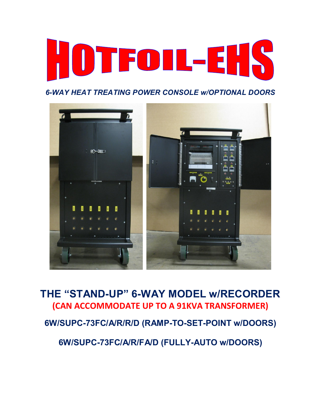

*6-WAY HEAT TREATING POWER CONSOLE w/OPTIONAL DOORS* 



**THE "STAND-UP" 6-WAY MODEL w/RECORDER (CAN ACCOMMODATE UP TO A 91KVA TRANSFORMER)**

**6W/SUPC-73FC/A/R/R/D (RAMP-TO-SET-POINT w/DOORS)** 

**6W/SUPC-73FC/A/R/FA/D (FULLY-AUTO w/DOORS)**